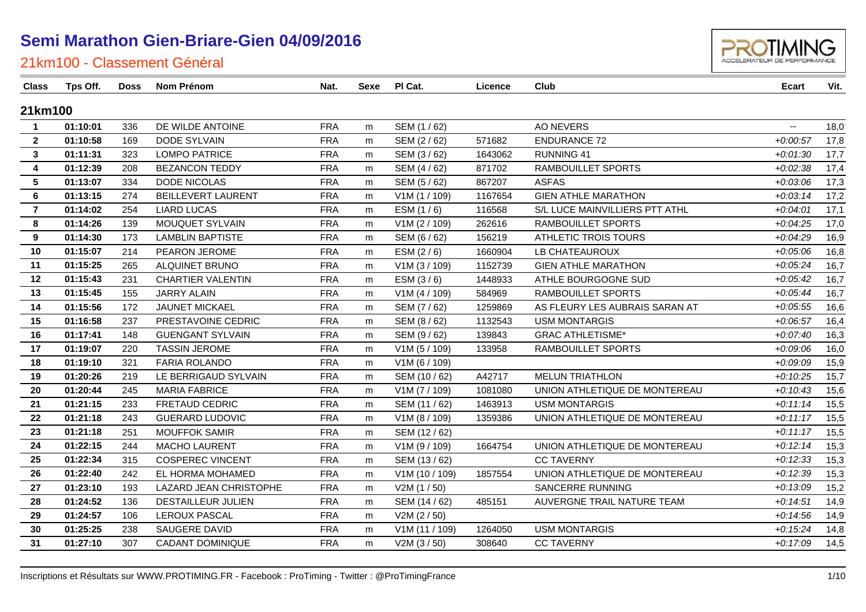

#### 21km100 - Classement Général

 $\overline{a}$ 

| Class                   | Tps Off. | <b>Doss</b> | Nom Prénom                | Nat.       | Sexe | PI Cat.        | Licence | Club                           | Ecart         | Vit. |
|-------------------------|----------|-------------|---------------------------|------------|------|----------------|---------|--------------------------------|---------------|------|
| 21km100                 |          |             |                           |            |      |                |         |                                |               |      |
| $\overline{1}$          | 01:10:01 | 336         | DE WILDE ANTOINE          | <b>FRA</b> | m    | SEM (1/62)     |         | <b>AO NEVERS</b>               | $\sim$ $\sim$ | 18,0 |
| $\overline{2}$          | 01:10:58 | 169         | DODE SYLVAIN              | <b>FRA</b> | m    | SEM (2/62)     | 571682  | <b>ENDURANCE 72</b>            | $+0.00:57$    | 17,8 |
| $\mathbf{3}$            | 01:11:31 | 323         | <b>LOMPO PATRICE</b>      | <b>FRA</b> | m    | SEM (3/62)     | 1643062 | RUNNING 41                     | $+0.01:30$    | 17,7 |
| $\overline{\mathbf{4}}$ | 01:12:39 | 208         | <b>BEZANCON TEDDY</b>     | <b>FRA</b> | m    | SEM (4/62)     | 871702  | RAMBOUILLET SPORTS             | $+0.02.38$    | 17,4 |
| $5\phantom{.0}$         | 01:13:07 | 334         | DODE NICOLAS              | <b>FRA</b> | m    | SEM (5 / 62)   | 867207  | <b>ASFAS</b>                   | $+0.03.06$    | 17,3 |
| 6                       | 01:13:15 | 274         | <b>BEILLEVERT LAURENT</b> | <b>FRA</b> | m    | V1M (1 / 109)  | 1167654 | <b>GIEN ATHLE MARATHON</b>     | $+0.03:14$    | 17,2 |
| $\overline{7}$          | 01:14:02 | 254         | <b>LIARD LUCAS</b>        | <b>FRA</b> | m    | ESM $(1/6)$    | 116568  | S/L LUCE MAINVILLIERS PTT ATHL | $+0.04:01$    | 17,1 |
| 8                       | 01:14:26 | 139         | MOUQUET SYLVAIN           | <b>FRA</b> | m    | V1M (2 / 109)  | 262616  | RAMBOUILLET SPORTS             | $+0.04:25$    | 17,0 |
| 9                       | 01:14:30 | 173         | <b>LAMBLIN BAPTISTE</b>   | <b>FRA</b> | m    | SEM (6 / 62)   | 156219  | ATHLETIC TROIS TOURS           | $+0.04:29$    | 16,9 |
| 10                      | 01:15:07 | 214         | PEARON JEROME             | <b>FRA</b> | m    | ESM $(2/6)$    | 1660904 | LB CHATEAUROUX                 | $+0.05.06$    | 16,8 |
| 11                      | 01:15:25 | 265         | ALQUINET BRUNO            | <b>FRA</b> | m    | V1M (3 / 109)  | 1152739 | <b>GIEN ATHLE MARATHON</b>     | $+0.05:24$    | 16,7 |
| 12                      | 01:15:43 | 231         | <b>CHARTIER VALENTIN</b>  | <b>FRA</b> | m    | ESM $(3/6)$    | 1448933 | ATHLE BOURGOGNE SUD            | $+0.05:42$    | 16,7 |
| 13                      | 01:15:45 | 155         | <b>JARRY ALAIN</b>        | <b>FRA</b> | m    | V1M (4 / 109)  | 584969  | RAMBOUILLET SPORTS             | $+0.05:44$    | 16,7 |
| 14                      | 01:15:56 | 172         | <b>JAUNET MICKAEL</b>     | <b>FRA</b> | m    | SEM (7/62)     | 1259869 | AS FLEURY LES AUBRAIS SARAN AT | $+0.05:55$    | 16,6 |
| 15                      | 01:16:58 | 237         | PRESTAVOINE CEDRIC        | <b>FRA</b> | m    | SEM (8/62)     | 1132543 | <b>USM MONTARGIS</b>           | $+0.06:57$    | 16,4 |
| 16                      | 01:17:41 | 148         | <b>GUENGANT SYLVAIN</b>   | <b>FRA</b> | m    | SEM (9/62)     | 139843  | <b>GRAC ATHLETISME*</b>        | $+0.07:40$    | 16,3 |
| 17                      | 01:19:07 | 220         | <b>TASSIN JEROME</b>      | <b>FRA</b> | m    | V1M (5 / 109)  | 133958  | RAMBOUILLET SPORTS             | $+0.09:06$    | 16,0 |
| 18                      | 01:19:10 | 321         | FARIA ROLANDO             | <b>FRA</b> | m    | V1M (6 / 109)  |         |                                | $+0.09.09$    | 15,9 |
| 19                      | 01:20:26 | 219         | LE BERRIGAUD SYLVAIN      | <b>FRA</b> | m    | SEM (10/62)    | A42717  | <b>MELUN TRIATHLON</b>         | $+0:10:25$    | 15,7 |
| 20                      | 01:20:44 | 245         | <b>MARIA FABRICE</b>      | <b>FRA</b> | m    | V1M (7 / 109)  | 1081080 | UNION ATHLETIQUE DE MONTEREAU  | $+0:10:43$    | 15,6 |
| 21                      | 01:21:15 | 233         | FRETAUD CEDRIC            | <b>FRA</b> | m    | SEM (11 / 62)  | 1463913 | <b>USM MONTARGIS</b>           | $+0:11:14$    | 15,5 |
| 22                      | 01:21:18 | 243         | <b>GUERARD LUDOVIC</b>    | <b>FRA</b> | m    | V1M (8 / 109)  | 1359386 | UNION ATHLETIQUE DE MONTEREAU  | $+0:11:17$    | 15,5 |
| 23                      | 01:21:18 | 251         | <b>MOUFFOK SAMIR</b>      | <b>FRA</b> | m    | SEM (12/62)    |         |                                | $+0:11:17$    | 15,5 |
| 24                      | 01:22:15 | 244         | <b>MACHO LAURENT</b>      | <b>FRA</b> | m    | V1M (9 / 109)  | 1664754 | UNION ATHLETIQUE DE MONTEREAU  | $+0:12:14$    | 15,3 |
| 25                      | 01:22:34 | 315         | <b>COSPEREC VINCENT</b>   | <b>FRA</b> | m    | SEM (13/62)    |         | <b>CC TAVERNY</b>              | $+0:12:33$    | 15,3 |
| 26                      | 01:22:40 | 242         | EL HORMA MOHAMED          | <b>FRA</b> | m    | V1M(10/109)    | 1857554 | UNION ATHLETIQUE DE MONTEREAU  | $+0:12:39$    | 15,3 |
| 27                      | 01:23:10 | 193         | LAZARD JEAN CHRISTOPHE    | <b>FRA</b> | m    | V2M (1 / 50)   |         | SANCERRE RUNNING               | $+0.13.09$    | 15,2 |
| 28                      | 01:24:52 | 136         | DESTAILLEUR JULIEN        | <b>FRA</b> | m    | SEM (14 / 62)  | 485151  | AUVERGNE TRAIL NATURE TEAM     | $+0:14:51$    | 14,9 |
| 29                      | 01:24:57 | 106         | LEROUX PASCAL             | <b>FRA</b> | m    | V2M (2 / 50)   |         |                                | $+0:14:56$    | 14,9 |
| 30                      | 01:25:25 | 238         | SAUGERE DAVID             | <b>FRA</b> | m    | V1M (11 / 109) | 1264050 | <b>USM MONTARGIS</b>           | $+0:15:24$    | 14,8 |
| 31                      | 01:27:10 | 307         | <b>CADANT DOMINIQUE</b>   | <b>FRA</b> | m    | V2M (3 / 50)   | 308640  | <b>CC TAVERNY</b>              | $+0:17:09$    | 14,5 |
|                         |          |             |                           |            |      |                |         |                                |               |      |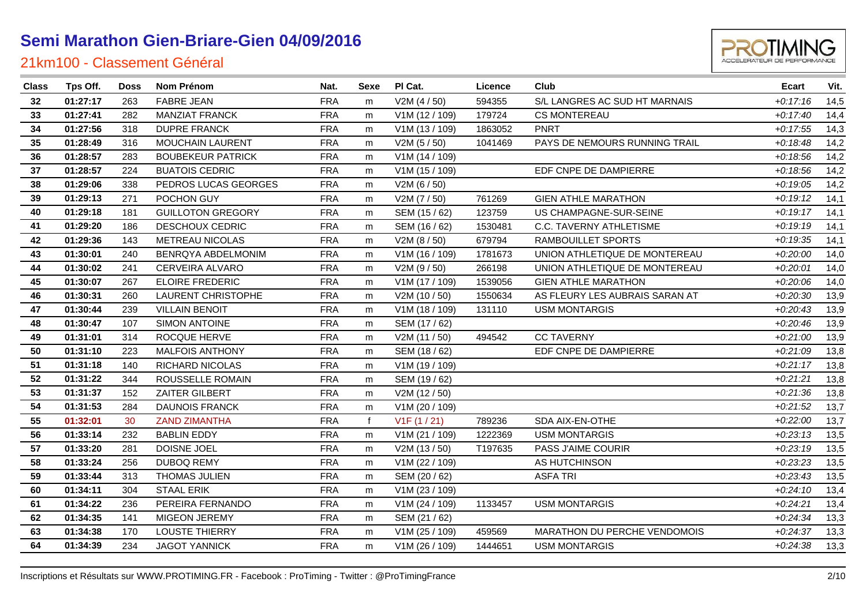

| <b>Class</b> | Tps Off. | <b>Doss</b> | Nom Prénom                | Nat.       | <b>Sexe</b> | PI Cat.        | Licence | Club                           | <b>Ecart</b> | Vit. |
|--------------|----------|-------------|---------------------------|------------|-------------|----------------|---------|--------------------------------|--------------|------|
| 32           | 01:27:17 | 263         | <b>FABRE JEAN</b>         | <b>FRA</b> | m           | V2M (4 / 50)   | 594355  | S/L LANGRES AC SUD HT MARNAIS  | $+0:17:16$   | 14,5 |
| 33           | 01:27:41 | 282         | <b>MANZIAT FRANCK</b>     | <b>FRA</b> | m           | V1M (12 / 109) | 179724  | <b>CS MONTEREAU</b>            | $+0:17:40$   | 14,4 |
| 34           | 01:27:56 | 318         | <b>DUPRE FRANCK</b>       | <b>FRA</b> | m           | V1M (13 / 109) | 1863052 | <b>PNRT</b>                    | $+0:17:55$   | 14,3 |
| 35           | 01:28:49 | 316         | <b>MOUCHAIN LAURENT</b>   | <b>FRA</b> | m           | V2M(5/50)      | 1041469 | PAYS DE NEMOURS RUNNING TRAIL  | $+0.18:48$   | 14,2 |
| 36           | 01:28:57 | 283         | <b>BOUBEKEUR PATRICK</b>  | <b>FRA</b> | m           | V1M (14 / 109) |         |                                | $+0.18.56$   | 14,2 |
| 37           | 01:28:57 | 224         | <b>BUATOIS CEDRIC</b>     | <b>FRA</b> | m           | V1M (15 / 109) |         | EDF CNPE DE DAMPIERRE          | $+0.18.56$   | 14,2 |
| 38           | 01:29:06 | 338         | PEDROS LUCAS GEORGES      | <b>FRA</b> | m           | V2M(6/50)      |         |                                | $+0:19:05$   | 14,2 |
| 39           | 01:29:13 | 271         | POCHON GUY                | <b>FRA</b> | m           | V2M (7 / 50)   | 761269  | <b>GIEN ATHLE MARATHON</b>     | $+0:19:12$   | 14,1 |
| 40           | 01:29:18 | 181         | <b>GUILLOTON GREGORY</b>  | <b>FRA</b> | m           | SEM (15 / 62)  | 123759  | US CHAMPAGNE-SUR-SEINE         | $+0:19:17$   | 14,1 |
| 41           | 01:29:20 | 186         | DESCHOUX CEDRIC           | <b>FRA</b> | m           | SEM (16 / 62)  | 1530481 | C.C. TAVERNY ATHLETISME        | $+0:19:19$   | 14,1 |
| 42           | 01:29:36 | 143         | METREAU NICOLAS           | <b>FRA</b> | m           | V2M (8 / 50)   | 679794  | RAMBOUILLET SPORTS             | $+0.19.35$   | 14,1 |
| 43           | 01:30:01 | 240         | BENRQYA ABDELMONIM        | <b>FRA</b> | m           | V1M (16 / 109) | 1781673 | UNION ATHLETIQUE DE MONTEREAU  | $+0.20:00$   | 14,0 |
| 44           | 01:30:02 | 241         | CERVEIRA ALVARO           | <b>FRA</b> | m           | V2M (9 / 50)   | 266198  | UNION ATHLETIQUE DE MONTEREAU  | $+0.20:01$   | 14,0 |
| 45           | 01:30:07 | 267         | <b>ELOIRE FREDERIC</b>    | <b>FRA</b> | m           | V1M (17 / 109) | 1539056 | <b>GIEN ATHLE MARATHON</b>     | $+0.20:06$   | 14,0 |
| 46           | 01:30:31 | 260         | <b>LAURENT CHRISTOPHE</b> | <b>FRA</b> | m           | V2M (10 / 50)  | 1550634 | AS FLEURY LES AUBRAIS SARAN AT | $+0.20.30$   | 13,9 |
| 47           | 01:30:44 | 239         | <b>VILLAIN BENOIT</b>     | <b>FRA</b> | m           | V1M (18 / 109) | 131110  | <b>USM MONTARGIS</b>           | $+0.20:43$   | 13,9 |
| 48           | 01:30:47 | 107         | <b>SIMON ANTOINE</b>      | <b>FRA</b> | m           | SEM (17/62)    |         |                                | $+0.20:46$   | 13,9 |
| 49           | 01:31:01 | 314         | ROCQUE HERVE              | <b>FRA</b> | m           | V2M (11 / 50)  | 494542  | <b>CC TAVERNY</b>              | $+0.21:00$   | 13,9 |
| 50           | 01:31:10 | 223         | <b>MALFOIS ANTHONY</b>    | <b>FRA</b> | m           | SEM (18 / 62)  |         | EDF CNPE DE DAMPIERRE          | $+0.21.09$   | 13,8 |
| 51           | 01:31:18 | 140         | <b>RICHARD NICOLAS</b>    | <b>FRA</b> | m           | V1M (19 / 109) |         |                                | $+0.21:17$   | 13,8 |
| 52           | 01:31:22 | 344         | ROUSSELLE ROMAIN          | <b>FRA</b> | m           | SEM (19 / 62)  |         |                                | $+0:21:21$   | 13,8 |
| 53           | 01:31:37 | 152         | ZAITER GILBERT            | <b>FRA</b> | m           | V2M (12 / 50)  |         |                                | $+0.21.36$   | 13,8 |
| 54           | 01:31:53 | 284         | <b>DAUNOIS FRANCK</b>     | <b>FRA</b> | m           | V1M (20 / 109) |         |                                | $+0.21:52$   | 13,7 |
| 55           | 01:32:01 | 30          | <b>ZAND ZIMANTHA</b>      | <b>FRA</b> | f           | V1F(1/21)      | 789236  | SDA AIX-EN-OTHE                | $+0.22:00$   | 13,7 |
| 56           | 01:33:14 | 232         | <b>BABLIN EDDY</b>        | <b>FRA</b> | m           | V1M (21 / 109) | 1222369 | <b>USM MONTARGIS</b>           | $+0.23:13$   | 13,5 |
| 57           | 01:33:20 | 281         | DOISNE JOEL               | <b>FRA</b> | m           | V2M (13/50)    | T197635 | PASS J'AIME COURIR             | $+0.23:19$   | 13,5 |
| 58           | 01:33:24 | 256         | <b>DUBOQ REMY</b>         | <b>FRA</b> | m           | V1M (22 / 109) |         | AS HUTCHINSON                  | $+0.23.23$   | 13,5 |
| 59           | 01:33:44 | 313         | THOMAS JULIEN             | <b>FRA</b> | m           | SEM (20 / 62)  |         | <b>ASFA TRI</b>                | $+0.23.43$   | 13,5 |
| 60           | 01:34:11 | 304         | <b>STAAL ERIK</b>         | <b>FRA</b> | m           | V1M (23 / 109) |         |                                | $+0.24:10$   | 13,4 |
| 61           | 01:34:22 | 236         | PEREIRA FERNANDO          | <b>FRA</b> | m           | V1M (24 / 109) | 1133457 | <b>USM MONTARGIS</b>           | $+0:24:21$   | 13,4 |
| 62           | 01:34:35 | 141         | MIGEON JEREMY             | <b>FRA</b> | m           | SEM (21 / 62)  |         |                                | $+0.24.34$   | 13,3 |
| 63           | 01:34:38 | 170         | LOUSTE THIERRY            | <b>FRA</b> | m           | V1M (25 / 109) | 459569  | MARATHON DU PERCHE VENDOMOIS   | $+0.24.37$   | 13,3 |
| 64           | 01:34:39 | 234         | <b>JAGOT YANNICK</b>      | <b>FRA</b> | m           | V1M (26 / 109) | 1444651 | <b>USM MONTARGIS</b>           | $+0.24.38$   | 13,3 |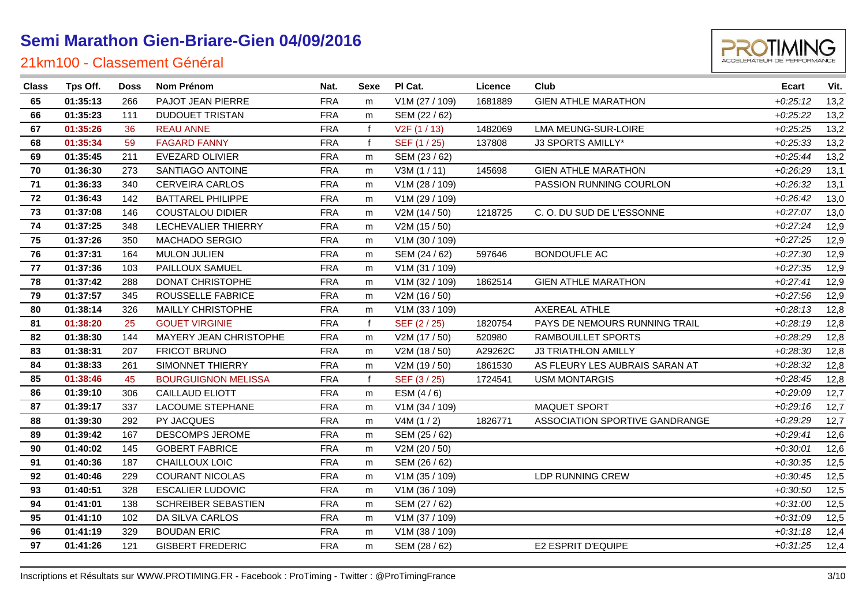

| <b>Class</b> | Tps Off. | <b>Doss</b> | Nom Prénom                 | Nat.       | Sexe         | PI Cat.                   | Licence | Club                           | <b>Ecart</b> | Vit. |
|--------------|----------|-------------|----------------------------|------------|--------------|---------------------------|---------|--------------------------------|--------------|------|
| 65           | 01:35:13 | 266         | PAJOT JEAN PIERRE          | <b>FRA</b> | m            | V1M (27 / 109)            | 1681889 | <b>GIEN ATHLE MARATHON</b>     | $+0:25:12$   | 13,2 |
| 66           | 01:35:23 | 111         | <b>DUDOUET TRISTAN</b>     | <b>FRA</b> | m            | SEM (22 / 62)             |         |                                | $+0.25.22$   | 13,2 |
| 67           | 01:35:26 | 36          | <b>REAU ANNE</b>           | <b>FRA</b> | $\mathbf f$  | V <sub>2</sub> F (1 / 13) | 1482069 | LMA MEUNG-SUR-LOIRE            | $+0.25.25$   | 13,2 |
| 68           | 01:35:34 | 59          | <b>FAGARD FANNY</b>        | <b>FRA</b> | $\mathbf f$  | SEF (1 / 25)              | 137808  | <b>J3 SPORTS AMILLY*</b>       | $+0.25.33$   | 13,2 |
| 69           | 01:35:45 | 211         | <b>EVEZARD OLIVIER</b>     | <b>FRA</b> | m            | SEM (23 / 62)             |         |                                | $+0.25:44$   | 13,2 |
| 70           | 01:36:30 | 273         | SANTIAGO ANTOINE           | <b>FRA</b> | m            | V3M(1/11)                 | 145698  | <b>GIEN ATHLE MARATHON</b>     | $+0.26.29$   | 13,1 |
| 71           | 01:36:33 | 340         | <b>CERVEIRA CARLOS</b>     | <b>FRA</b> | m            | V1M (28 / 109)            |         | PASSION RUNNING COURLON        | $+0.26.32$   | 13,1 |
| 72           | 01:36:43 | 142         | <b>BATTAREL PHILIPPE</b>   | <b>FRA</b> | m            | V1M (29 / 109)            |         |                                | $+0.26:42$   | 13,0 |
| 73           | 01:37:08 | 146         | <b>COUSTALOU DIDIER</b>    | <b>FRA</b> | m            | V2M (14 / 50)             | 1218725 | C.O. DU SUD DE L'ESSONNE       | $+0.27:07$   | 13,0 |
| 74           | 01:37:25 | 348         | LECHEVALIER THIERRY        | <b>FRA</b> | m            | V2M (15 / 50)             |         |                                | $+0:27:24$   | 12,9 |
| 75           | 01:37:26 | 350         | MACHADO SERGIO             | <b>FRA</b> | m            | V1M (30 / 109)            |         |                                | $+0.27.25$   | 12,9 |
| 76           | 01:37:31 | 164         | <b>MULON JULIEN</b>        | <b>FRA</b> | m            | SEM (24 / 62)             | 597646  | <b>BONDOUFLE AC</b>            | $+0.27:30$   | 12,9 |
| 77           | 01:37:36 | 103         | PAILLOUX SAMUEL            | <b>FRA</b> | m            | V1M (31 / 109)            |         |                                | $+0.27.35$   | 12,9 |
| 78           | 01:37:42 | 288         | DONAT CHRISTOPHE           | <b>FRA</b> | m            | V1M (32 / 109)            | 1862514 | <b>GIEN ATHLE MARATHON</b>     | $+0.27:41$   | 12,9 |
| 79           | 01:37:57 | 345         | ROUSSELLE FABRICE          | <b>FRA</b> | m            | V2M (16 / 50)             |         |                                | $+0.27:56$   | 12,9 |
| 80           | 01:38:14 | 326         | <b>MAILLY CHRISTOPHE</b>   | <b>FRA</b> | m            | V1M (33 / 109)            |         | AXEREAL ATHLE                  | $+0.28:13$   | 12,8 |
| 81           | 01:38:20 | 25          | <b>GOUET VIRGINIE</b>      | <b>FRA</b> | $\mathbf{f}$ | SEF (2/25)                | 1820754 | PAYS DE NEMOURS RUNNING TRAIL  | $+0.28:19$   | 12,8 |
| 82           | 01:38:30 | 144         | MAYERY JEAN CHRISTOPHE     | <b>FRA</b> | m            | V2M (17 / 50)             | 520980  | RAMBOUILLET SPORTS             | $+0.28.29$   | 12,8 |
| 83           | 01:38:31 | 207         | <b>FRICOT BRUNO</b>        | <b>FRA</b> | m            | V2M (18 / 50)             | A29262C | <b>J3 TRIATHLON AMILLY</b>     | $+0.28.30$   | 12,8 |
| 84           | 01:38:33 | 261         | SIMONNET THIERRY           | <b>FRA</b> | m            | V2M (19 / 50)             | 1861530 | AS FLEURY LES AUBRAIS SARAN AT | $+0.28.32$   | 12,8 |
| 85           | 01:38:46 | 45          | <b>BOURGUIGNON MELISSA</b> | <b>FRA</b> | $\mathbf f$  | SEF (3/25)                | 1724541 | <b>USM MONTARGIS</b>           | $+0.28:45$   | 12,8 |
| 86           | 01:39:10 | 306         | CAILLAUD ELIOTT            | <b>FRA</b> | m            | ESM $(4/6)$               |         |                                | $+0.29:09$   | 12,7 |
| 87           | 01:39:17 | 337         | LACOUME STEPHANE           | <b>FRA</b> | m            | V1M (34 / 109)            |         | MAQUET SPORT                   | $+0.29:16$   | 12,7 |
| 88           | 01:39:30 | 292         | PY JACQUES                 | <b>FRA</b> | m            | V4M(1/2)                  | 1826771 | ASSOCIATION SPORTIVE GANDRANGE | $+0.29.29$   | 12,7 |
| 89           | 01:39:42 | 167         | <b>DESCOMPS JEROME</b>     | <b>FRA</b> | m            | SEM (25 / 62)             |         |                                | $+0.29:41$   | 12,6 |
| 90           | 01:40:02 | 145         | <b>GOBERT FABRICE</b>      | <b>FRA</b> | m            | V2M (20 / 50)             |         |                                | $+0.30:01$   | 12,6 |
| 91           | 01:40:36 | 187         | CHAILLOUX LOIC             | <b>FRA</b> | m            | SEM (26 / 62)             |         |                                | $+0:30:35$   | 12,5 |
| 92           | 01:40:46 | 229         | <b>COURANT NICOLAS</b>     | <b>FRA</b> | m            | V1M (35 / 109)            |         | LDP RUNNING CREW               | $+0.30:45$   | 12,5 |
| 93           | 01:40:51 | 328         | <b>ESCALIER LUDOVIC</b>    | <b>FRA</b> | m            | V1M (36 / 109)            |         |                                | $+0:30:50$   | 12,5 |
| 94           | 01:41:01 | 138         | SCHREIBER SEBASTIEN        | <b>FRA</b> | m            | SEM (27 / 62)             |         |                                | $+0.31:00$   | 12,5 |
| 95           | 01:41:10 | 102         | DA SILVA CARLOS            | <b>FRA</b> | m            | V1M (37 / 109)            |         |                                | $+0.31.09$   | 12,5 |
| 96           | 01:41:19 | 329         | <b>BOUDAN ERIC</b>         | <b>FRA</b> | m            | V1M (38 / 109)            |         |                                | $+0:31:18$   | 12,4 |
| 97           | 01:41:26 | 121         | <b>GISBERT FREDERIC</b>    | <b>FRA</b> | m            | SEM (28 / 62)             |         | E2 ESPRIT D'EQUIPE             | $+0:31:25$   | 12,4 |
|              |          |             |                            |            |              |                           |         |                                |              |      |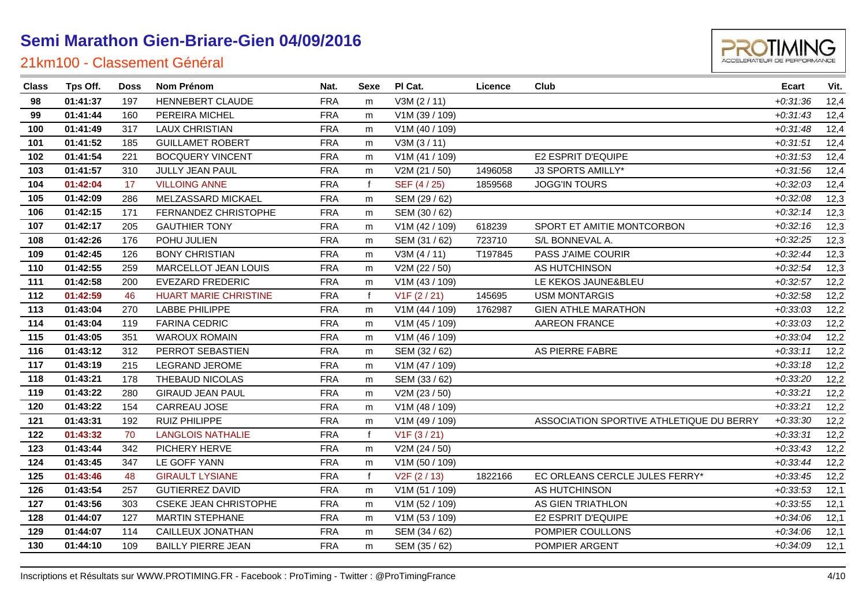#### 21km100 - Classement Général

| 99  | 01:41:44 | 160 | PEREIRA MICHEL               | <b>FRA</b> | m            | V1M (39 / 109) |         |                                          | $+0.31:43$ | 12,4 |
|-----|----------|-----|------------------------------|------------|--------------|----------------|---------|------------------------------------------|------------|------|
| 100 | 01:41:49 | 317 | <b>LAUX CHRISTIAN</b>        | <b>FRA</b> | m            | V1M (40 / 109) |         |                                          | $+0:31:48$ | 12,4 |
| 101 | 01:41:52 | 185 | <b>GUILLAMET ROBERT</b>      | <b>FRA</b> | m            | V3M(3/11)      |         |                                          | $+0:31:51$ | 12,4 |
| 102 | 01:41:54 | 221 | <b>BOCQUERY VINCENT</b>      | <b>FRA</b> | m            | V1M (41 / 109) |         | E2 ESPRIT D'EQUIPE                       | $+0.31.53$ | 12,4 |
| 103 | 01:41:57 | 310 | JULLY JEAN PAUL              | <b>FRA</b> | m            | V2M (21 / 50)  | 1496058 | J3 SPORTS AMILLY*                        | $+0.31.56$ | 12,4 |
| 104 | 01:42:04 | 17  | <b>VILLOING ANNE</b>         | <b>FRA</b> | f            | SEF (4/25)     | 1859568 | <b>JOGG'IN TOURS</b>                     | $+0.32:03$ | 12,4 |
| 105 | 01:42:09 | 286 | MELZASSARD MICKAEL           | <b>FRA</b> | m            | SEM (29 / 62)  |         |                                          | $+0.32:08$ | 12,3 |
| 106 | 01:42:15 | 171 | FERNANDEZ CHRISTOPHE         | <b>FRA</b> | m            | SEM (30 / 62)  |         |                                          | $+0.32:14$ | 12,3 |
| 107 | 01:42:17 | 205 | <b>GAUTHIER TONY</b>         | <b>FRA</b> | m            | V1M (42 / 109) | 618239  | SPORT ET AMITIE MONTCORBON               | $+0.32:16$ | 12,3 |
| 108 | 01:42:26 | 176 | POHU JULIEN                  | <b>FRA</b> | m            | SEM (31 / 62)  | 723710  | S/L BONNEVAL A.                          | $+0.32:25$ | 12,3 |
| 109 | 01:42:45 | 126 | <b>BONY CHRISTIAN</b>        | <b>FRA</b> | m            | V3M(4/11)      | T197845 | PASS J'AIME COURIR                       | $+0.32:44$ | 12,3 |
| 110 | 01:42:55 | 259 | <b>MARCELLOT JEAN LOUIS</b>  | <b>FRA</b> | m            | V2M (22 / 50)  |         | AS HUTCHINSON                            | $+0.32:54$ | 12,3 |
| 111 | 01:42:58 | 200 | <b>EVEZARD FREDERIC</b>      | <b>FRA</b> | m            | V1M (43 / 109) |         | LE KEKOS JAUNE&BLEU                      | $+0.32:57$ | 12,2 |
| 112 | 01:42:59 | 46  | <b>HUART MARIE CHRISTINE</b> | <b>FRA</b> | f            | V1F(2/21)      | 145695  | <b>USM MONTARGIS</b>                     | $+0.32:58$ | 12,2 |
| 113 | 01:43:04 | 270 | <b>LABBE PHILIPPE</b>        | <b>FRA</b> | m            | V1M (44 / 109) | 1762987 | <b>GIEN ATHLE MARATHON</b>               | $+0.33.03$ | 12,2 |
| 114 | 01:43:04 | 119 | <b>FARINA CEDRIC</b>         | <b>FRA</b> | m            | V1M (45 / 109) |         | <b>AAREON FRANCE</b>                     | $+0.33.03$ | 12,2 |
| 115 | 01:43:05 | 351 | <b>WAROUX ROMAIN</b>         | <b>FRA</b> | m            | V1M (46 / 109) |         |                                          | $+0.33.04$ | 12,2 |
| 116 | 01:43:12 | 312 | PERROT SEBASTIEN             | <b>FRA</b> | m            | SEM (32 / 62)  |         | AS PIERRE FABRE                          | $+0.33:11$ | 12,2 |
| 117 | 01:43:19 | 215 | <b>LEGRAND JEROME</b>        | <b>FRA</b> | m            | V1M (47 / 109) |         |                                          | $+0.33:18$ | 12,2 |
| 118 | 01:43:21 | 178 | THEBAUD NICOLAS              | <b>FRA</b> | m            | SEM (33 / 62)  |         |                                          | $+0:33:20$ | 12,2 |
| 119 | 01:43:22 | 280 | <b>GIRAUD JEAN PAUL</b>      | <b>FRA</b> | m            | V2M (23 / 50)  |         |                                          | $+0.33.21$ | 12,2 |
| 120 | 01:43:22 | 154 | CARREAU JOSE                 | <b>FRA</b> | m            | V1M (48 / 109) |         |                                          | $+0.33.21$ | 12,2 |
| 121 | 01:43:31 | 192 | <b>RUIZ PHILIPPE</b>         | <b>FRA</b> | m            | V1M (49 / 109) |         | ASSOCIATION SPORTIVE ATHLETIQUE DU BERRY | $+0.33.30$ | 12,2 |
| 122 | 01:43:32 | 70  | <b>LANGLOIS NATHALIE</b>     | <b>FRA</b> | $\mathbf{f}$ | V1F(3/21)      |         |                                          | $+0.33.31$ | 12,2 |
| 123 | 01:43:44 | 342 | PICHERY HERVE                | <b>FRA</b> | m            | V2M (24 / 50)  |         |                                          | $+0.33:43$ | 12,2 |
| 124 | 01:43:45 | 347 | LE GOFF YANN                 | <b>FRA</b> | m            | V1M (50 / 109) |         |                                          | $+0.33:44$ | 12,2 |
| 125 | 01:43:46 | 48  | <b>GIRAULT LYSIANE</b>       | <b>FRA</b> | f            | V2F(2/13)      | 1822166 | EC ORLEANS CERCLE JULES FERRY*           | $+0.33:45$ | 12,2 |
| 126 | 01:43:54 | 257 | <b>GUTIERREZ DAVID</b>       | <b>FRA</b> | m            | V1M (51 / 109) |         | AS HUTCHINSON                            | $+0.33.53$ | 12,1 |
| 127 | 01:43:56 | 303 | <b>CSEKE JEAN CHRISTOPHE</b> | <b>FRA</b> | m            | V1M (52 / 109) |         | AS GIEN TRIATHLON                        | $+0.33.55$ | 12,1 |
| 128 | 01:44:07 | 127 | <b>MARTIN STEPHANE</b>       | <b>FRA</b> | m            | V1M (53 / 109) |         | E2 ESPRIT D'EQUIPE                       | $+0.34:06$ | 12,1 |
| 129 | 01:44:07 | 114 | CAILLEUX JONATHAN            | <b>FRA</b> | m            | SEM (34 / 62)  |         | POMPIER COULLONS                         | $+0:34:06$ | 12,1 |
| 130 | 01:44:10 | 109 | <b>BAILLY PIERRE JEAN</b>    | <b>FRA</b> | m            | SEM (35 / 62)  |         | POMPIER ARGENT                           | $+0.34:09$ | 12,1 |
|     |          |     |                              |            |              |                |         |                                          |            |      |

**01:41:37** 197 HENNEBERT CLAUDE FRA m V3M (2 / 11) *+0:31:36* 12,4

**Class Tps Off. Doss Nom Prénom Nat. Sexe Pl Cat. Licence Club Ecart Vit.**

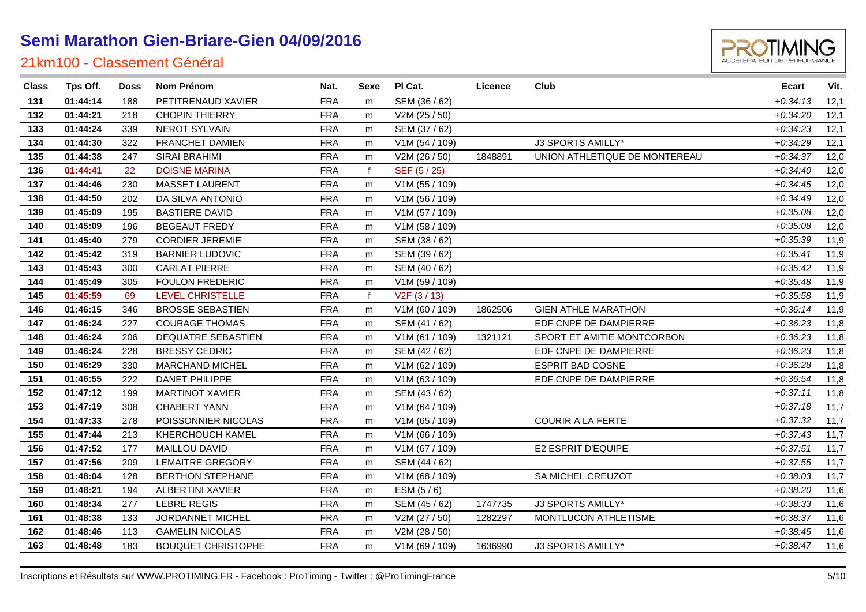| TIMIN |
|-------|

| <b>Class</b> | Tps Off. | Doss | Nom Prénom                | Nat.       | Sexe         | PI Cat.                   | Licence | Club                          | <b>Ecart</b> | Vit. |
|--------------|----------|------|---------------------------|------------|--------------|---------------------------|---------|-------------------------------|--------------|------|
| 131          | 01:44:14 | 188  | PETITRENAUD XAVIER        | <b>FRA</b> | m            | SEM (36 / 62)             |         |                               | $+0:34:13$   | 12,1 |
| 132          | 01:44:21 | 218  | <b>CHOPIN THIERRY</b>     | <b>FRA</b> | m            | V2M (25 / 50)             |         |                               | $+0:34:20$   | 12,1 |
| 133          | 01:44:24 | 339  | <b>NEROT SYLVAIN</b>      | <b>FRA</b> | m            | SEM (37 / 62)             |         |                               | $+0.34.23$   | 12,1 |
| 134          | 01:44:30 | 322  | <b>FRANCHET DAMIEN</b>    | <b>FRA</b> | m            | V1M (54 / 109)            |         | J3 SPORTS AMILLY*             | $+0:34:29$   | 12,1 |
| 135          | 01:44:38 | 247  | SIRAI BRAHIMI             | <b>FRA</b> | m            | V2M (26 / 50)             | 1848891 | UNION ATHLETIQUE DE MONTEREAU | $+0.34.37$   | 12,0 |
| 136          | 01:44:41 | 22   | <b>DOISNE MARINA</b>      | <b>FRA</b> | $\mathsf{f}$ | SEF (5/25)                |         |                               | $+0.34:40$   | 12,0 |
| 137          | 01:44:46 | 230  | <b>MASSET LAURENT</b>     | <b>FRA</b> | m            | V1M (55 / 109)            |         |                               | $+0.34:45$   | 12,0 |
| 138          | 01:44:50 | 202  | DA SILVA ANTONIO          | <b>FRA</b> | m            | V1M (56 / 109)            |         |                               | $+0.34:49$   | 12,0 |
| 139          | 01:45:09 | 195  | <b>BASTIERE DAVID</b>     | <b>FRA</b> | m            | V1M (57 / 109)            |         |                               | $+0:35:08$   | 12,0 |
| 140          | 01:45:09 | 196  | <b>BEGEAUT FREDY</b>      | <b>FRA</b> | m            | V1M (58 / 109)            |         |                               | $+0.35.08$   | 12,0 |
| 141          | 01:45:40 | 279  | <b>CORDIER JEREMIE</b>    | <b>FRA</b> | m            | SEM (38 / 62)             |         |                               | $+0.35.39$   | 11,9 |
| 142          | 01:45:42 | 319  | <b>BARNIER LUDOVIC</b>    | <b>FRA</b> | m            | SEM (39 / 62)             |         |                               | $+0:35:41$   | 11,9 |
| 143          | 01:45:43 | 300  | <b>CARLAT PIERRE</b>      | <b>FRA</b> | m            | SEM (40 / 62)             |         |                               | $+0.35:42$   | 11,9 |
| 144          | 01:45:49 | 305  | <b>FOULON FREDERIC</b>    | <b>FRA</b> | m            | V1M (59 / 109)            |         |                               | $+0:35:48$   | 11,9 |
| 145          | 01:45:59 | 69   | <b>LEVEL CHRISTELLE</b>   | <b>FRA</b> | f            | V <sub>2</sub> F (3 / 13) |         |                               | $+0:35:58$   | 11,9 |
| 146          | 01:46:15 | 346  | <b>BROSSE SEBASTIEN</b>   | <b>FRA</b> | m            | V1M (60 / 109)            | 1862506 | <b>GIEN ATHLE MARATHON</b>    | $+0.36:14$   | 11,9 |
| 147          | 01:46:24 | 227  | <b>COURAGE THOMAS</b>     | <b>FRA</b> | m            | SEM (41 / 62)             |         | EDF CNPE DE DAMPIERRE         | $+0.36.23$   | 11,8 |
| 148          | 01:46:24 | 206  | DEQUATRE SEBASTIEN        | <b>FRA</b> | m            | V1M (61 / 109)            | 1321121 | SPORT ET AMITIE MONTCORBON    | $+0.36.23$   | 11,8 |
| 149          | 01:46:24 | 228  | <b>BRESSY CEDRIC</b>      | <b>FRA</b> | m            | SEM (42 / 62)             |         | EDF CNPE DE DAMPIERRE         | $+0.36:23$   | 11,8 |
| 150          | 01:46:29 | 330  | MARCHAND MICHEL           | <b>FRA</b> | m            | V1M (62 / 109)            |         | <b>ESPRIT BAD COSNE</b>       | $+0.36.28$   | 11,8 |
| 151          | 01:46:55 | 222  | DANET PHILIPPE            | <b>FRA</b> | m            | V1M (63 / 109)            |         | EDF CNPE DE DAMPIERRE         | $+0.36.54$   | 11,8 |
| 152          | 01:47:12 | 199  | <b>MARTINOT XAVIER</b>    | <b>FRA</b> | m            | SEM (43 / 62)             |         |                               | $+0:37:11$   | 11,8 |
| 153          | 01:47:19 | 308  | <b>CHABERT YANN</b>       | <b>FRA</b> | m            | V1M (64 / 109)            |         |                               | $+0:37:18$   | 11,7 |
| 154          | 01:47:33 | 278  | POISSONNIER NICOLAS       | <b>FRA</b> | m            | V1M (65 / 109)            |         | <b>COURIR A LA FERTE</b>      | $+0.37.32$   | 11,7 |
| 155          | 01:47:44 | 213  | KHERCHOUCH KAMEL          | <b>FRA</b> | m            | V1M (66 / 109)            |         |                               | $+0.37:43$   | 11,7 |
| 156          | 01:47:52 | 177  | MAILLOU DAVID             | <b>FRA</b> | m            | V1M (67 / 109)            |         | E2 ESPRIT D'EQUIPE            | $+0:37:51$   | 11,7 |
| 157          | 01:47:56 | 209  | <b>LEMAITRE GREGORY</b>   | <b>FRA</b> | m            | SEM (44 / 62)             |         |                               | $+0.37:55$   | 11,7 |
| 158          | 01:48:04 | 128  | <b>BERTHON STEPHANE</b>   | <b>FRA</b> | m            | V1M (68 / 109)            |         | SA MICHEL CREUZOT             | $+0.38.03$   | 11,7 |
| 159          | 01:48:21 | 194  | <b>ALBERTINI XAVIER</b>   | <b>FRA</b> | m            | ESM $(5/6)$               |         |                               | $+0.38:20$   | 11,6 |
| 160          | 01:48:34 | 277  | <b>LEBRE REGIS</b>        | <b>FRA</b> | m            | SEM (45 / 62)             | 1747735 | J3 SPORTS AMILLY*             | $+0.38.33$   | 11,6 |
| 161          | 01:48:38 | 133  | JORDANNET MICHEL          | <b>FRA</b> | m            | V2M (27 / 50)             | 1282297 | MONTLUCON ATHLETISME          | $+0:38:37$   | 11,6 |
| 162          | 01:48:46 | 113  | <b>GAMELIN NICOLAS</b>    | <b>FRA</b> | m            | V2M (28 / 50)             |         |                               | $+0.38:45$   | 11,6 |
| 163          | 01:48:48 | 183  | <b>BOUQUET CHRISTOPHE</b> | <b>FRA</b> | m            | V1M (69 / 109)            | 1636990 | J3 SPORTS AMILLY*             | $+0.38:47$   | 11,6 |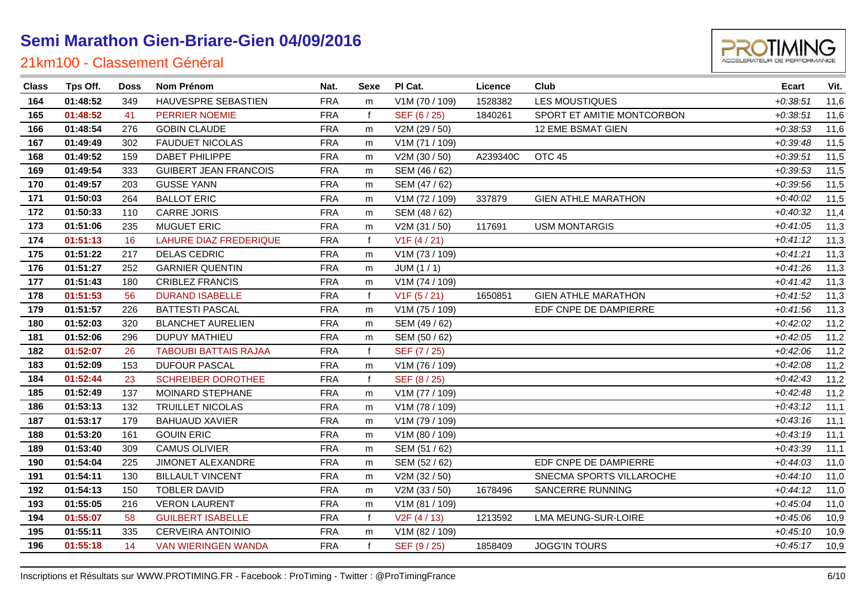

| <b>Class</b> | Tps Off. | <b>Doss</b> | Nom Prénom                    | Nat.       | Sexe         | PI Cat.        | Licence  | Club                       | <b>Ecart</b> | Vit. |
|--------------|----------|-------------|-------------------------------|------------|--------------|----------------|----------|----------------------------|--------------|------|
| 164          | 01:48:52 | 349         | HAUVESPRE SEBASTIEN           | <b>FRA</b> | m            | V1M (70 / 109) | 1528382  | <b>LES MOUSTIQUES</b>      | $+0.38:51$   | 11,6 |
| 165          | 01:48:52 | 41          | PERRIER NOEMIE                | <b>FRA</b> | $\mathbf{f}$ | SEF (6/25)     | 1840261  | SPORT ET AMITIE MONTCORBON | $+0.38:51$   | 11,6 |
| 166          | 01:48:54 | 276         | <b>GOBIN CLAUDE</b>           | <b>FRA</b> | m            | V2M (29 / 50)  |          | 12 EME BSMAT GIEN          | $+0.38.53$   | 11,6 |
| 167          | 01:49:49 | 302         | <b>FAUDUET NICOLAS</b>        | <b>FRA</b> | m            | V1M (71 / 109) |          |                            | $+0.39:48$   | 11,5 |
| 168          | 01:49:52 | 159         | <b>DABET PHILIPPE</b>         | <b>FRA</b> | m            | V2M (30 / 50)  | A239340C | OTC <sub>45</sub>          | $+0.39:51$   | 11,5 |
| 169          | 01:49:54 | 333         | <b>GUIBERT JEAN FRANCOIS</b>  | <b>FRA</b> | m            | SEM (46 / 62)  |          |                            | $+0.39.53$   | 11,5 |
| 170          | 01:49:57 | 203         | <b>GUSSE YANN</b>             | <b>FRA</b> | m            | SEM (47 / 62)  |          |                            | $+0.39.56$   | 11,5 |
| 171          | 01:50:03 | 264         | <b>BALLOT ERIC</b>            | <b>FRA</b> | m            | V1M (72 / 109) | 337879   | <b>GIEN ATHLE MARATHON</b> | $+0:40:02$   | 11,5 |
| 172          | 01:50:33 | 110         | <b>CARRE JORIS</b>            | <b>FRA</b> | m            | SEM (48 / 62)  |          |                            | $+0.40.32$   | 11,4 |
| 173          | 01:51:06 | 235         | <b>MUGUET ERIC</b>            | <b>FRA</b> | m            | V2M (31 / 50)  | 117691   | <b>USM MONTARGIS</b>       | $+0:41:05$   | 11,3 |
| 174          | 01:51:13 | 16          | <b>LAHURE DIAZ FREDERIQUE</b> | <b>FRA</b> | $\mathbf{f}$ | V1F(4/21)      |          |                            | $+0:41:12$   | 11,3 |
| 175          | 01:51:22 | 217         | <b>DELAS CEDRIC</b>           | <b>FRA</b> | m            | V1M (73 / 109) |          |                            | $+0:41:21$   | 11,3 |
| 176          | 01:51:27 | 252         | <b>GARNIER QUENTIN</b>        | <b>FRA</b> | m            | JUM(1/1)       |          |                            | $+0:41:26$   | 11,3 |
| 177          | 01:51:43 | 180         | CRIBLEZ FRANCIS               | <b>FRA</b> | m            | V1M (74 / 109) |          |                            | $+0:41:42$   | 11,3 |
| 178          | 01:51:53 | 56          | <b>DURAND ISABELLE</b>        | <b>FRA</b> | $\mathbf f$  | V1F (5 / 21)   | 1650851  | <b>GIEN ATHLE MARATHON</b> | $+0.41:52$   | 11,3 |
| 179          | 01:51:57 | 226         | <b>BATTESTI PASCAL</b>        | <b>FRA</b> | m            | V1M (75 / 109) |          | EDF CNPE DE DAMPIERRE      | $+0.41.56$   | 11,3 |
| 180          | 01:52:03 | 320         | <b>BLANCHET AURELIEN</b>      | <b>FRA</b> | m            | SEM (49 / 62)  |          |                            | $+0.42:02$   | 11,2 |
| 181          | 01:52:06 | 296         | <b>DUPUY MATHIEU</b>          | <b>FRA</b> | m            | SEM (50 / 62)  |          |                            | $+0.42:05$   | 11,2 |
| 182          | 01:52:07 | 26          | <b>TABOUBI BATTAIS RAJAA</b>  | <b>FRA</b> | $\mathbf{f}$ | SEF (7/25)     |          |                            | $+0.42:06$   | 11,2 |
| 183          | 01:52:09 | 153         | <b>DUFOUR PASCAL</b>          | <b>FRA</b> | m            | V1M (76 / 109) |          |                            | $+0.42:08$   | 11,2 |
| 184          | 01:52:44 | 23          | <b>SCHREIBER DOROTHEE</b>     | <b>FRA</b> | $\mathbf f$  | SEF (8/25)     |          |                            | $+0.42:43$   | 11,2 |
| 185          | 01:52:49 | 137         | MOINARD STEPHANE              | <b>FRA</b> | m            | V1M (77 / 109) |          |                            | $+0.42:48$   | 11,2 |
| 186          | 01:53:13 | 132         | <b>TRUILLET NICOLAS</b>       | <b>FRA</b> | m            | V1M (78 / 109) |          |                            | $+0:43:12$   | 11,1 |
| 187          | 01:53:17 | 179         | <b>BAHUAUD XAVIER</b>         | <b>FRA</b> | m            | V1M (79 / 109) |          |                            | $+0:43:16$   | 11,1 |
| 188          | 01:53:20 | 161         | <b>GOUIN ERIC</b>             | <b>FRA</b> | m            | V1M (80 / 109) |          |                            | $+0:43:19$   | 11,1 |
| 189          | 01:53:40 | 309         | <b>CAMUS OLIVIER</b>          | <b>FRA</b> | m            | SEM (51 / 62)  |          |                            | $+0.43.39$   | 11,1 |
| 190          | 01:54:04 | 225         | JIMONET ALEXANDRE             | <b>FRA</b> | m            | SEM (52 / 62)  |          | EDF CNPE DE DAMPIERRE      | $+0:44:03$   | 11,0 |
| 191          | 01:54:11 | 130         | <b>BILLAULT VINCENT</b>       | <b>FRA</b> | m            | V2M (32 / 50)  |          | SNECMA SPORTS VILLAROCHE   | $+0:44:10$   | 11,0 |
| 192          | 01:54:13 | 150         | <b>TOBLER DAVID</b>           | <b>FRA</b> | m            | V2M (33 / 50)  | 1678496  | SANCERRE RUNNING           | $+0:44:12$   | 11,0 |
| 193          | 01:55:05 | 216         | <b>VERON LAURENT</b>          | <b>FRA</b> | m            | V1M (81 / 109) |          |                            | $+0.45.04$   | 11,0 |
| 194          | 01:55:07 | 58          | <b>GUILBERT ISABELLE</b>      | <b>FRA</b> | $\mathbf{f}$ | V2F(4/13)      | 1213592  | LMA MEUNG-SUR-LOIRE        | $+0.45:06$   | 10,9 |
| 195          | 01:55:11 | 335         | <b>CERVEIRA ANTOINIO</b>      | <b>FRA</b> | m            | V1M (82 / 109) |          |                            | $+0:45:10$   | 10,9 |
| 196          | 01:55:18 | 14          | <b>VAN WIERINGEN WANDA</b>    | <b>FRA</b> | $\mathbf f$  | SEF (9/25)     | 1858409  | <b>JOGG'IN TOURS</b>       | $+0:45:17$   | 10,9 |
|              |          |             |                               |            |              |                |          |                            |              |      |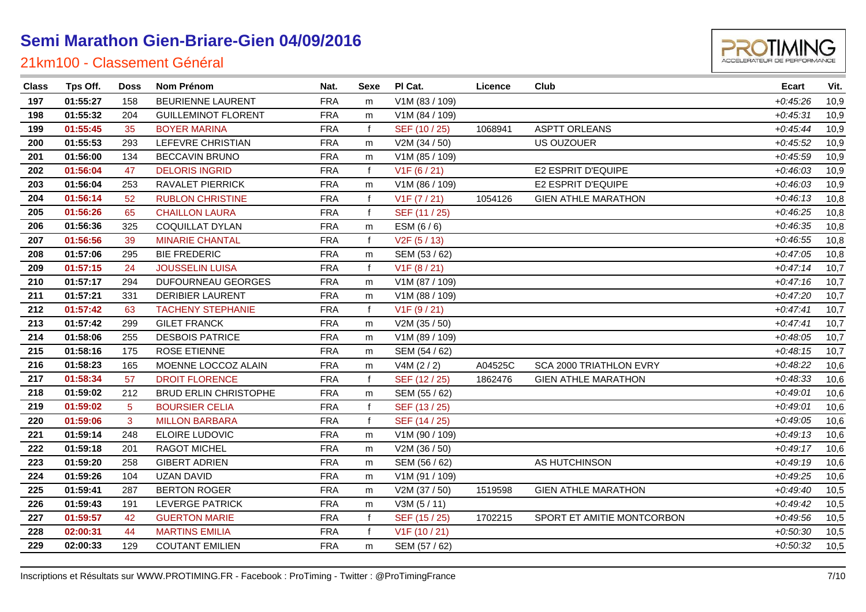

| <b>Class</b> | Tps Off. | <b>Doss</b>     | <b>Nom Prénom</b>            | Nat.       | Sexe         | PI Cat.        | Licence | Club                       | Ecart      | Vit. |
|--------------|----------|-----------------|------------------------------|------------|--------------|----------------|---------|----------------------------|------------|------|
| 197          | 01:55:27 | 158             | <b>BEURIENNE LAURENT</b>     | <b>FRA</b> | m            | V1M (83 / 109) |         |                            | $+0.45.26$ | 10,9 |
| 198          | 01:55:32 | 204             | <b>GUILLEMINOT FLORENT</b>   | <b>FRA</b> | m            | V1M (84 / 109) |         |                            | $+0.45.31$ | 10,9 |
| 199          | 01:55:45 | 35              | <b>BOYER MARINA</b>          | <b>FRA</b> | $\mathbf f$  | SEF (10 / 25)  | 1068941 | <b>ASPTT ORLEANS</b>       | $+0.45:44$ | 10,9 |
| 200          | 01:55:53 | 293             | LEFEVRE CHRISTIAN            | <b>FRA</b> | m            | V2M (34 / 50)  |         | US OUZOUER                 | $+0.45.52$ | 10,9 |
| 201          | 01:56:00 | 134             | <b>BECCAVIN BRUNO</b>        | <b>FRA</b> | m            | V1M (85 / 109) |         |                            | $+0.45.59$ | 10,9 |
| 202          | 01:56:04 | 47              | <b>DELORIS INGRID</b>        | <b>FRA</b> | $\mathbf{f}$ | V1F(6/21)      |         | E2 ESPRIT D'EQUIPE         | $+0.46:03$ | 10,9 |
| 203          | 01:56:04 | 253             | RAVALET PIERRICK             | <b>FRA</b> | m            | V1M (86 / 109) |         | E2 ESPRIT D'EQUIPE         | $+0.46:03$ | 10,9 |
| 204          | 01:56:14 | 52              | <b>RUBLON CHRISTINE</b>      | <b>FRA</b> | $\mathbf{f}$ | V1F (7 / 21)   | 1054126 | <b>GIEN ATHLE MARATHON</b> | $+0:46:13$ | 10,8 |
| 205          | 01:56:26 | 65              | <b>CHAILLON LAURA</b>        | <b>FRA</b> | $\mathsf{f}$ | SEF (11 / 25)  |         |                            | $+0.46.25$ | 10,8 |
| 206          | 01:56:36 | 325             | COQUILLAT DYLAN              | <b>FRA</b> | m            | ESM (6/6)      |         |                            | $+0.46.35$ | 10,8 |
| 207          | 01:56:56 | 39              | <b>MINARIE CHANTAL</b>       | <b>FRA</b> | $\mathbf{f}$ | V2F (5 / 13)   |         |                            | $+0.46:55$ | 10,8 |
| 208          | 01:57:06 | 295             | <b>BIE FREDERIC</b>          | <b>FRA</b> | m            | SEM (53 / 62)  |         |                            | $+0:47:05$ | 10,8 |
| 209          | 01:57:15 | 24              | <b>JOUSSELIN LUISA</b>       | <b>FRA</b> | $\mathbf{f}$ | V1F(8/21)      |         |                            | $+0:47:14$ | 10,7 |
| 210          | 01:57:17 | 294             | DUFOURNEAU GEORGES           | <b>FRA</b> | m            | V1M (87 / 109) |         |                            | $+0:47:16$ | 10,7 |
| 211          | 01:57:21 | 331             | <b>DERIBIER LAURENT</b>      | <b>FRA</b> | m            | V1M (88 / 109) |         |                            | $+0:47:20$ | 10,7 |
| 212          | 01:57:42 | 63              | <b>TACHENY STEPHANIE</b>     | <b>FRA</b> | f            | V1F(9/21)      |         |                            | $+0:47:41$ | 10,7 |
| 213          | 01:57:42 | 299             | <b>GILET FRANCK</b>          | <b>FRA</b> | m            | V2M (35 / 50)  |         |                            | $+0:47:41$ | 10,7 |
| 214          | 01:58:06 | 255             | <b>DESBOIS PATRICE</b>       | <b>FRA</b> | m            | V1M (89 / 109) |         |                            | $+0.48:05$ | 10,7 |
| 215          | 01:58:16 | 175             | <b>ROSE ETIENNE</b>          | <b>FRA</b> | m            | SEM (54 / 62)  |         |                            | $+0:48:15$ | 10,7 |
| 216          | 01:58:23 | 165             | MOENNE LOCCOZ ALAIN          | <b>FRA</b> | m            | V4M (2 / 2)    | A04525C | SCA 2000 TRIATHLON EVRY    | $+0.48:22$ | 10,6 |
| 217          | 01:58:34 | 57              | <b>DROIT FLORENCE</b>        | <b>FRA</b> | $\mathsf{f}$ | SEF (12 / 25)  | 1862476 | <b>GIEN ATHLE MARATHON</b> | $+0.48.33$ | 10,6 |
| 218          | 01:59:02 | 212             | <b>BRUD ERLIN CHRISTOPHE</b> | <b>FRA</b> | m            | SEM (55 / 62)  |         |                            | $+0.49:01$ | 10,6 |
| 219          | 01:59:02 | $5\phantom{.0}$ | <b>BOURSIER CELIA</b>        | <b>FRA</b> | $\mathbf{f}$ | SEF (13/25)    |         |                            | $+0.49:01$ | 10,6 |
| 220          | 01:59:06 | 3               | <b>MILLON BARBARA</b>        | <b>FRA</b> | $\mathbf{f}$ | SEF (14 / 25)  |         |                            | $+0.49:05$ | 10,6 |
| 221          | 01:59:14 | 248             | ELOIRE LUDOVIC               | <b>FRA</b> | m            | V1M (90 / 109) |         |                            | $+0:49:13$ | 10,6 |
| 222          | 01:59:18 | 201             | RAGOT MICHEL                 | <b>FRA</b> | m            | V2M (36 / 50)  |         |                            | $+0:49:17$ | 10,6 |
| 223          | 01:59:20 | 258             | <b>GIBERT ADRIEN</b>         | <b>FRA</b> | m            | SEM (56 / 62)  |         | AS HUTCHINSON              | $+0.49:19$ | 10,6 |
| 224          | 01:59:26 | 104             | <b>UZAN DAVID</b>            | <b>FRA</b> | m            | V1M (91 / 109) |         |                            | $+0.49.25$ | 10,6 |
| 225          | 01:59:41 | 287             | <b>BERTON ROGER</b>          | <b>FRA</b> | m            | V2M (37 / 50)  | 1519598 | <b>GIEN ATHLE MARATHON</b> | $+0.49:40$ | 10,5 |
| 226          | 01:59:43 | 191             | <b>LEVERGE PATRICK</b>       | <b>FRA</b> | m            | V3M(5/11)      |         |                            | $+0.49:42$ | 10,5 |
| 227          | 01:59:57 | 42              | <b>GUERTON MARIE</b>         | <b>FRA</b> | $\mathbf f$  | SEF (15 / 25)  | 1702215 | SPORT ET AMITIE MONTCORBON | $+0.49.56$ | 10,5 |
| 228          | 02:00:31 | 44              | <b>MARTINS EMILIA</b>        | <b>FRA</b> | $\mathbf{f}$ | V1F (10 / 21)  |         |                            | $+0.50.30$ | 10,5 |
| 229          | 02:00:33 | 129             | <b>COUTANT EMILIEN</b>       | <b>FRA</b> | m            | SEM (57 / 62)  |         |                            | $+0.50.32$ | 10,5 |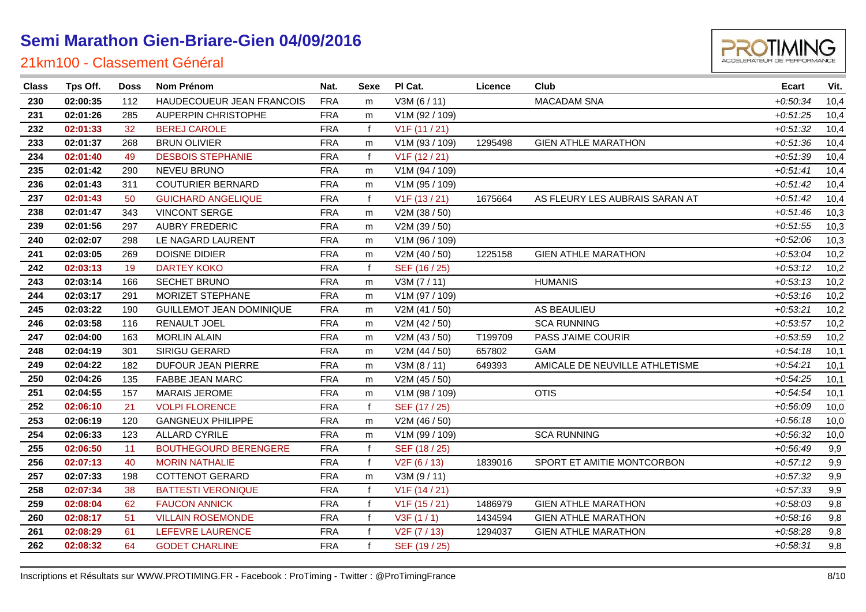

| <b>Class</b> | Tps Off. | <b>Doss</b> | <b>Nom Prénom</b>               | Nat.       | <b>Sexe</b>  | PI Cat.                   | Licence | Club                           | <b>Ecart</b> | Vit. |
|--------------|----------|-------------|---------------------------------|------------|--------------|---------------------------|---------|--------------------------------|--------------|------|
| 230          | 02:00:35 | 112         | HAUDECOUEUR JEAN FRANCOIS       | <b>FRA</b> | m            | V3M(6/11)                 |         | <b>MACADAM SNA</b>             | $+0.50.34$   | 10,4 |
| 231          | 02:01:26 | 285         | <b>AUPERPIN CHRISTOPHE</b>      | <b>FRA</b> | m            | V1M (92 / 109)            |         |                                | $+0.51.25$   | 10,4 |
| 232          | 02:01:33 | 32          | <b>BEREJ CAROLE</b>             | <b>FRA</b> | $\mathbf f$  | V1F (11 / 21)             |         |                                | $+0.51.32$   | 10,4 |
| 233          | 02:01:37 | 268         | <b>BRUN OLIVIER</b>             | <b>FRA</b> | m            | V1M (93 / 109)            | 1295498 | <b>GIEN ATHLE MARATHON</b>     | $+0.51.36$   | 10,4 |
| 234          | 02:01:40 | 49          | <b>DESBOIS STEPHANIE</b>        | <b>FRA</b> | $\mathbf f$  | V1F (12/21)               |         |                                | $+0.51.39$   | 10,4 |
| 235          | 02:01:42 | 290         | <b>NEVEU BRUNO</b>              | <b>FRA</b> | m            | V1M (94 / 109)            |         |                                | $+0.51:41$   | 10,4 |
| 236          | 02:01:43 | 311         | <b>COUTURIER BERNARD</b>        | <b>FRA</b> | m            | V1M (95 / 109)            |         |                                | $+0.51:42$   | 10,4 |
| 237          | 02:01:43 | 50          | <b>GUICHARD ANGELIQUE</b>       | <b>FRA</b> | $\mathbf f$  | V1F(13/21)                | 1675664 | AS FLEURY LES AUBRAIS SARAN AT | $+0.51:42$   | 10,4 |
| 238          | 02:01:47 | 343         | <b>VINCONT SERGE</b>            | <b>FRA</b> | m            | V2M (38 / 50)             |         |                                | $+0.51:46$   | 10,3 |
| 239          | 02:01:56 | 297         | <b>AUBRY FREDERIC</b>           | <b>FRA</b> | m            | V2M (39 / 50)             |         |                                | $+0.51.55$   | 10,3 |
| 240          | 02:02:07 | 298         | LE NAGARD LAURENT               | <b>FRA</b> | m            | V1M (96 / 109)            |         |                                | $+0.52:06$   | 10,3 |
| 241          | 02:03:05 | 269         | DOISNE DIDIER                   | <b>FRA</b> | m            | V2M (40 / 50)             | 1225158 | <b>GIEN ATHLE MARATHON</b>     | $+0.53.04$   | 10,2 |
| 242          | 02:03:13 | 19          | <b>DARTEY KOKO</b>              | <b>FRA</b> | $\mathbf f$  | SEF (16 / 25)             |         |                                | $+0.53:12$   | 10,2 |
| 243          | 02:03:14 | 166         | SECHET BRUNO                    | <b>FRA</b> | m            | V3M (7 / 11)              |         | <b>HUMANIS</b>                 | $+0.53:13$   | 10,2 |
| 244          | 02:03:17 | 291         | MORIZET STEPHANE                | <b>FRA</b> | m            | V1M (97 / 109)            |         |                                | $+0.53:16$   | 10,2 |
| 245          | 02:03:22 | 190         | <b>GUILLEMOT JEAN DOMINIQUE</b> | <b>FRA</b> | m            | V2M (41 / 50)             |         | AS BEAULIEU                    | $+0.53.21$   | 10,2 |
| 246          | 02:03:58 | 116         | RENAULT JOEL                    | <b>FRA</b> | m            | V2M (42 / 50)             |         | <b>SCA RUNNING</b>             | $+0.53.57$   | 10,2 |
| 247          | 02:04:00 | 163         | <b>MORLIN ALAIN</b>             | <b>FRA</b> | m            | V2M (43 / 50)             | T199709 | PASS J'AIME COURIR             | $+0.53.59$   | 10,2 |
| 248          | 02:04:19 | 301         | SIRIGU GERARD                   | <b>FRA</b> | m            | V2M (44 / 50)             | 657802  | GAM                            | $+0.54:18$   | 10,1 |
| 249          | 02:04:22 | 182         | DUFOUR JEAN PIERRE              | <b>FRA</b> | m            | V3M (8 / 11)              | 649393  | AMICALE DE NEUVILLE ATHLETISME | $+0.54:21$   | 10,1 |
| 250          | 02:04:26 | 135         | FABBE JEAN MARC                 | <b>FRA</b> | m            | V2M (45 / 50)             |         |                                | $+0.54.25$   | 10,1 |
| 251          | 02:04:55 | 157         | <b>MARAIS JEROME</b>            | <b>FRA</b> | m            | V1M (98 / 109)            |         | <b>OTIS</b>                    | $+0.54.54$   | 10,1 |
| 252          | 02:06:10 | 21          | <b>VOLPI FLORENCE</b>           | <b>FRA</b> | $\mathsf{f}$ | SEF (17 / 25)             |         |                                | $+0.56:09$   | 10,0 |
| 253          | 02:06:19 | 120         | <b>GANGNEUX PHILIPPE</b>        | <b>FRA</b> | m            | V2M (46 / 50)             |         |                                | $+0.56:18$   | 10,0 |
| 254          | 02:06:33 | 123         | <b>ALLARD CYRILE</b>            | <b>FRA</b> | m            | V1M (99 / 109)            |         | <b>SCA RUNNING</b>             | $+0.56.32$   | 10,0 |
| 255          | 02:06:50 | 11          | <b>BOUTHEGOURD BERENGERE</b>    | <b>FRA</b> | $\mathbf f$  | SEF (18 / 25)             |         |                                | $+0.56:49$   | 9,9  |
| 256          | 02:07:13 | 40          | <b>MORIN NATHALIE</b>           | <b>FRA</b> | f            | V <sub>2</sub> F (6 / 13) | 1839016 | SPORT ET AMITIE MONTCORBON     | $+0.57:12$   | 9,9  |
| 257          | 02:07:33 | 198         | <b>COTTENOT GERARD</b>          | <b>FRA</b> | m            | V3M (9 / 11)              |         |                                | $+0.57.32$   | 9,9  |
| 258          | 02:07:34 | 38          | <b>BATTESTI VERONIQUE</b>       | <b>FRA</b> |              | V1F (14 / 21)             |         |                                | $+0.57.33$   | 9,9  |
| 259          | 02:08:04 | 62          | <b>FAUCON ANNICK</b>            | <b>FRA</b> | $\mathbf{f}$ | V1F(15/21)                | 1486979 | <b>GIEN ATHLE MARATHON</b>     | $+0.58.03$   | 9,8  |
| 260          | 02:08:17 | 51          | <b>VILLAIN ROSEMONDE</b>        | <b>FRA</b> | $\mathbf f$  | V3F(1/1)                  | 1434594 | <b>GIEN ATHLE MARATHON</b>     | $+0.58:16$   | 9,8  |
| 261          | 02:08:29 | 61          | LEFEVRE LAURENCE                | <b>FRA</b> | f            | V <sub>2</sub> F (7 / 13) | 1294037 | <b>GIEN ATHLE MARATHON</b>     | $+0.58.28$   | 9,8  |
| 262          | 02:08:32 | 64          | <b>GODET CHARLINE</b>           | <b>FRA</b> | $\mathbf{f}$ | SEF (19 / 25)             |         |                                | $+0.58.31$   | 9,8  |
|              |          |             |                                 |            |              |                           |         |                                |              |      |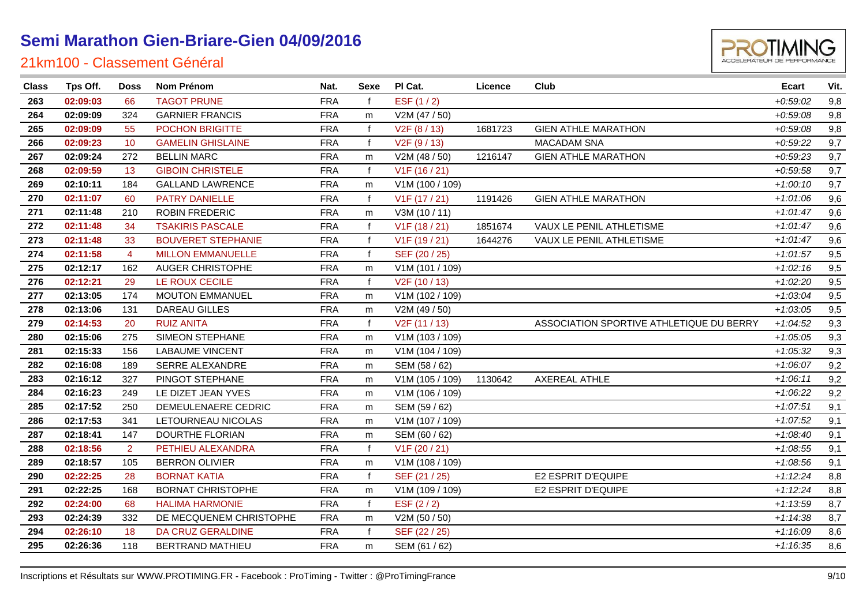

| <b>Class</b> | Tps Off. | <b>Doss</b>    | <b>Nom Prénom</b>         | Nat.       | Sexe         | PI Cat.                   | Licence | Club                                     | Ecart      | Vit. |
|--------------|----------|----------------|---------------------------|------------|--------------|---------------------------|---------|------------------------------------------|------------|------|
| 263          | 02:09:03 | 66             | <b>TAGOT PRUNE</b>        | <b>FRA</b> |              | ESF (1/2)                 |         |                                          | $+0.59:02$ | 9,8  |
| 264          | 02:09:09 | 324            | <b>GARNIER FRANCIS</b>    | <b>FRA</b> | m            | V2M (47 / 50)             |         |                                          | $+0.59.08$ | 9,8  |
| 265          | 02:09:09 | 55             | POCHON BRIGITTE           | <b>FRA</b> | $\mathbf f$  | V <sub>2</sub> F (8 / 13) | 1681723 | <b>GIEN ATHLE MARATHON</b>               | $+0.59.08$ | 9,8  |
| 266          | 02:09:23 | 10             | <b>GAMELIN GHISLAINE</b>  | <b>FRA</b> | $\mathbf f$  | V <sub>2</sub> F (9 / 13) |         | <b>MACADAM SNA</b>                       | $+0.59:22$ | 9,7  |
| 267          | 02:09:24 | 272            | <b>BELLIN MARC</b>        | <b>FRA</b> | m            | V2M (48 / 50)             | 1216147 | <b>GIEN ATHLE MARATHON</b>               | $+0.59.23$ | 9,7  |
| 268          | 02:09:59 | 13             | <b>GIBOIN CHRISTELE</b>   | <b>FRA</b> | $\mathbf{f}$ | V1F (16 / 21)             |         |                                          | $+0.59.58$ | 9,7  |
| 269          | 02:10:11 | 184            | <b>GALLAND LAWRENCE</b>   | <b>FRA</b> | m            | V1M (100 / 109)           |         |                                          | $+1:00:10$ | 9,7  |
| 270          | 02:11:07 | 60             | PATRY DANIELLE            | <b>FRA</b> | $\mathsf{f}$ | V1F (17 / 21)             | 1191426 | <b>GIEN ATHLE MARATHON</b>               | $+1:01:06$ | 9,6  |
| 271          | 02:11:48 | 210            | ROBIN FREDERIC            | <b>FRA</b> | m            | V3M (10 / 11)             |         |                                          | $+1:01:47$ | 9,6  |
| 272          | 02:11:48 | 34             | <b>TSAKIRIS PASCALE</b>   | <b>FRA</b> | $\mathbf{f}$ | V1F (18 / 21)             | 1851674 | VAUX LE PENIL ATHLETISME                 | $+1:01:47$ | 9,6  |
| 273          | 02:11:48 | 33             | <b>BOUVERET STEPHANIE</b> | <b>FRA</b> | $\mathbf{f}$ | V1F (19 / 21)             | 1644276 | VAUX LE PENIL ATHLETISME                 | $+1:01:47$ | 9,6  |
| 274          | 02:11:58 | $\overline{4}$ | <b>MILLON EMMANUELLE</b>  | <b>FRA</b> | $\mathbf{f}$ | SEF (20 / 25)             |         |                                          | $+1:01:57$ | 9,5  |
| 275          | 02:12:17 | 162            | AUGER CHRISTOPHE          | <b>FRA</b> | m            | V1M (101 / 109)           |         |                                          | $+1:02:16$ | 9,5  |
| 276          | 02:12:21 | 29             | LE ROUX CECILE            | <b>FRA</b> | $\mathbf{f}$ | V2F (10 / 13)             |         |                                          | $+1:02:20$ | 9,5  |
| 277          | 02:13:05 | 174            | <b>MOUTON EMMANUEL</b>    | <b>FRA</b> | m            | V1M (102 / 109)           |         |                                          | $+1:03:04$ | 9,5  |
| 278          | 02:13:06 | 131            | DAREAU GILLES             | <b>FRA</b> | m            | V2M (49 / 50)             |         |                                          | $+1:03:05$ | 9,5  |
| 279          | 02:14:53 | 20             | <b>RUIZ ANITA</b>         | <b>FRA</b> | $\mathsf{f}$ | V2F (11 / 13)             |         | ASSOCIATION SPORTIVE ATHLETIQUE DU BERRY | $+1:04:52$ | 9,3  |
| 280          | 02:15:06 | 275            | SIMEON STEPHANE           | <b>FRA</b> | m            | V1M (103 / 109)           |         |                                          | $+1:05:05$ | 9,3  |
| 281          | 02:15:33 | 156            | <b>LABAUME VINCENT</b>    | <b>FRA</b> | m            | V1M (104 / 109)           |         |                                          | $+1:05:32$ | 9,3  |
| 282          | 02:16:08 | 189            | SERRE ALEXANDRE           | <b>FRA</b> | m            | SEM (58 / 62)             |         |                                          | $+1:06:07$ | 9,2  |
| 283          | 02:16:12 | 327            | PINGOT STEPHANE           | <b>FRA</b> | m            | V1M (105 / 109)           | 1130642 | <b>AXEREAL ATHLE</b>                     | $+1.06:11$ | 9,2  |
| 284          | 02:16:23 | 249            | LE DIZET JEAN YVES        | <b>FRA</b> | m            | V1M (106 / 109)           |         |                                          | $+1:06:22$ | 9,2  |
| 285          | 02:17:52 | 250            | DEMEULENAERE CEDRIC       | <b>FRA</b> | m            | SEM (59 / 62)             |         |                                          | $+1:07:51$ | 9,1  |
| 286          | 02:17:53 | 341            | LETOURNEAU NICOLAS        | <b>FRA</b> | m            | V1M (107 / 109)           |         |                                          | $+1:07:52$ | 9,1  |
| 287          | 02:18:41 | 147            | DOURTHE FLORIAN           | <b>FRA</b> | m            | SEM (60 / 62)             |         |                                          | $+1:08:40$ | 9,1  |
| 288          | 02:18:56 | $\overline{2}$ | PETHIEU ALEXANDRA         | <b>FRA</b> | $\mathbf{f}$ | V1F (20 / 21)             |         |                                          | $+1:08:55$ | 9,1  |
| 289          | 02:18:57 | 105            | <b>BERRON OLIVIER</b>     | <b>FRA</b> | m            | V1M (108 / 109)           |         |                                          | $+1:08:56$ | 9,1  |
| 290          | 02:22:25 | 28             | <b>BORNAT KATIA</b>       | <b>FRA</b> | $\mathbf f$  | SEF (21 / 25)             |         | E2 ESPRIT D'EQUIPE                       | $+1:12:24$ | 8,8  |
| 291          | 02:22:25 | 168            | <b>BORNAT CHRISTOPHE</b>  | <b>FRA</b> | m            | V1M (109 / 109)           |         | E2 ESPRIT D'EQUIPE                       | $+1:12:24$ | 8,8  |
| 292          | 02:24:00 | 68             | <b>HALIMA HARMONIE</b>    | <b>FRA</b> | $\mathbf f$  | ESF $(2/2)$               |         |                                          | $+1:13:59$ | 8,7  |
| 293          | 02:24:39 | 332            | DE MECQUENEM CHRISTOPHE   | <b>FRA</b> | m            | V2M (50 / 50)             |         |                                          | $+1:14:38$ | 8,7  |
| 294          | 02:26:10 | 18             | DA CRUZ GERALDINE         | <b>FRA</b> | $\mathbf f$  | SEF (22 / 25)             |         |                                          | $+1:16:09$ | 8,6  |
| 295          | 02:26:36 | 118            | <b>BERTRAND MATHIEU</b>   | <b>FRA</b> | m            | SEM (61 / 62)             |         |                                          | $+1:16:35$ | 8,6  |